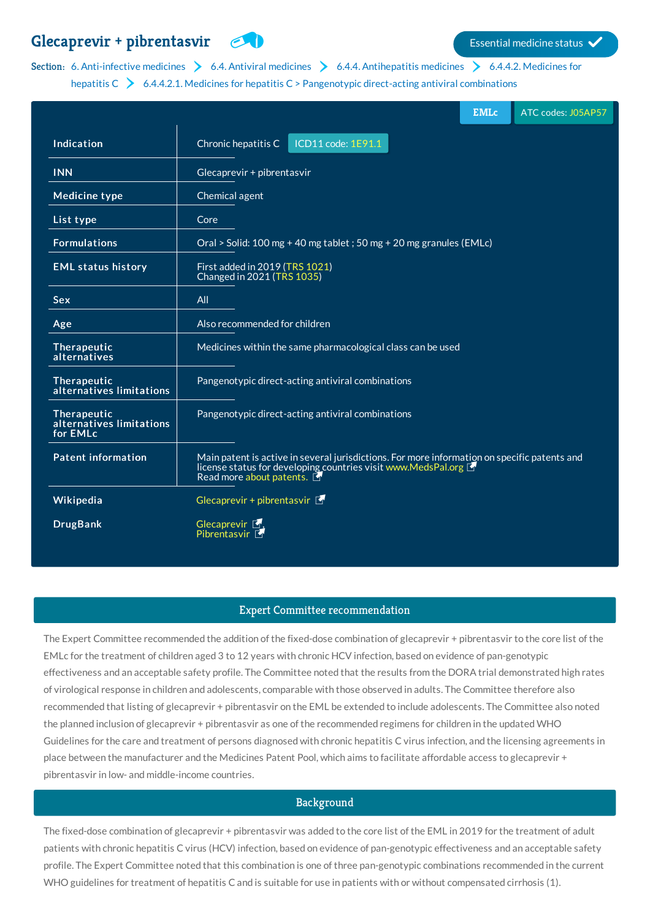# **Glecaprevir +** [pibrentasvir](http://list.essentialmeds.org/medicines/491) **EXP Essential medicine status**

# Section: 6. [Anti-infective](http://list.essentialmeds.org/?section=355) [medicines](http://list.essentialmeds.org/?section=343)  $\triangleright$  6.4. Antiviral medicines  $\triangleright$  6.4.4. [Antihepatitis](http://list.essentialmeds.org/?section=352) medicines  $\triangleright$  6.4.4.2. Medicines for hepatitis  $C \rightarrow 6.4.4.2.1$ . Medicines for hepatitis  $C >$  [Pangenotypic](http://list.essentialmeds.org/?section=356) direct-acting antiviral combinations

|                                                     | <b>EMLc</b><br>ATC codes: J05AP57                                                                                                                                                           |
|-----------------------------------------------------|---------------------------------------------------------------------------------------------------------------------------------------------------------------------------------------------|
| <b>Indication</b>                                   | ICD11 code: 1E91.1<br>Chronic hepatitis C                                                                                                                                                   |
| <b>INN</b>                                          | Glecaprevir + pibrentasvir                                                                                                                                                                  |
| <b>Medicine type</b>                                | Chemical agent                                                                                                                                                                              |
| List type                                           | Core                                                                                                                                                                                        |
| <b>Formulations</b>                                 | Oral > Solid: 100 mg + 40 mg tablet ; 50 mg + 20 mg granules (EMLc)                                                                                                                         |
| <b>EML status history</b>                           | First added in 2019 (TRS 1021)<br>Changed in 2021 (TRS 1035)                                                                                                                                |
| Sex                                                 | All                                                                                                                                                                                         |
| Age                                                 | Also recommended for children                                                                                                                                                               |
| Therapeutic<br>alternatives                         | Medicines within the same pharmacological class can be used                                                                                                                                 |
| Therapeutic<br>alternatives limitations             | Pangenotypic direct-acting antiviral combinations                                                                                                                                           |
| Therapeutic<br>alternatives limitations<br>for EMLc | Pangenotypic direct-acting antiviral combinations                                                                                                                                           |
| <b>Patent information</b>                           | Main patent is active in several jurisdictions. For more information on specific patents and<br>license status for developing countries visit www.MedsPal.org F<br>Read more about patents. |
| Wikipedia                                           | Glecaprevir + pibrentasvir $\blacksquare$                                                                                                                                                   |
| <b>DrugBank</b>                                     | Glecaprevir <sup>E</sup> ,<br>Pibrentasvir M                                                                                                                                                |

## Expert Committee recommendation

The Expert Committee recommended the addition of the fixed-dose combination of glecaprevir + pibrentasvir to the core list of the EMLc for the treatment of children aged 3 to 12 years with chronic HCV infection, based on evidence of pan-genotypic effectiveness and an acceptable safety profile. The Committee noted that the results from the DORA trial demonstrated high rates of virological response in children and adolescents, comparable with those observed in adults. The Committee therefore also recommended that listing of glecaprevir + pibrentasvir on the EML be extended to include adolescents. The Committee also noted the planned inclusion of glecaprevir + pibrentasvir as one of the recommended regimens for children in the updated WHO Guidelines for the care and treatment of persons diagnosed with chronic hepatitis C virus infection, and the licensing agreements in place between the manufacturer and the Medicines Patent Pool, which aims to facilitate affordable access to glecaprevir + pibrentasvir in low- and middle-income countries.

## Background

The fixed-dose combination of glecaprevir + pibrentasvir was added to the core list of the EML in 2019 for the treatment of adult patients with chronic hepatitis C virus (HCV) infection, based on evidence of pan-genotypic effectiveness and an acceptable safety profile. The Expert Committee noted that this combination is one of three pan-genotypic combinations recommended in the current WHO guidelines for treatment of hepatitis C and is suitable for use in patients with or without compensated cirrhosis (1).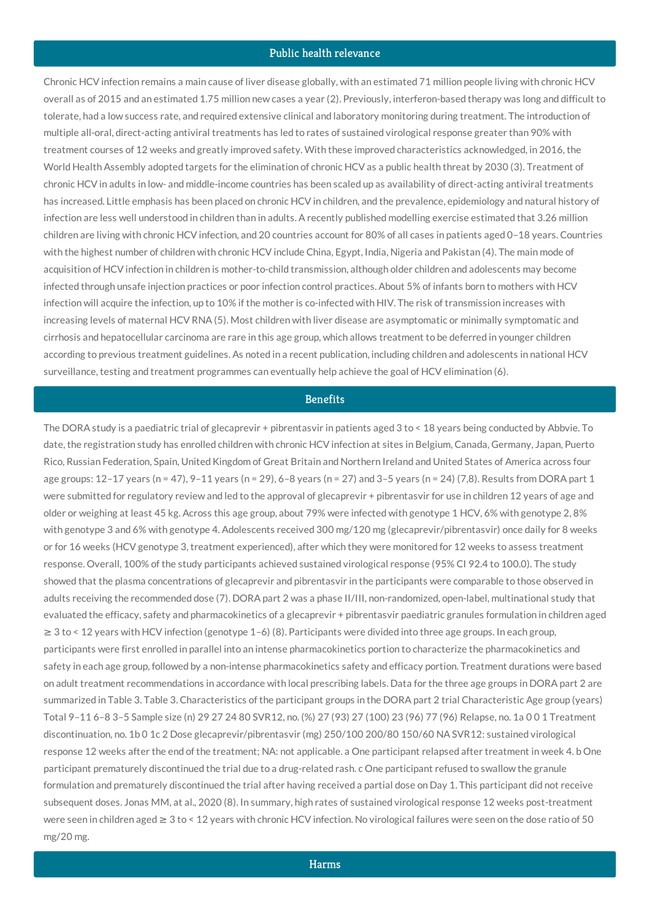#### Public health relevance

Chronic HCV infection remains a main cause of liver disease globally, with an estimated 71 million people living with chronic HCV overall as of 2015 and an estimated 1.75 million new cases a year (2). Previously, interferon-based therapy was long and difficult to tolerate, had a low success rate, and required extensive clinical and laboratory monitoring during treatment. The introduction of multiple all-oral, direct-acting antiviral treatments has led to rates of sustained virological response greater than 90% with treatment courses of 12 weeks and greatly improved safety. With these improved characteristics acknowledged, in 2016, the World Health Assembly adopted targets for the elimination of chronic HCV as a public health threat by 2030 (3). Treatment of chronic HCV in adults in low- and middle-income countries has been scaled up as availability of direct-acting antiviral treatments has increased. Little emphasis has been placed on chronic HCV in children, and the prevalence, epidemiology and natural history of infection are less well understood in children than in adults. A recently published modelling exercise estimated that 3.26 million children are living with chronic HCV infection, and 20 countries account for 80% of all cases in patients aged 0–18 years. Countries with the highest number of children with chronic HCV include China, Egypt, India, Nigeria and Pakistan (4). The main mode of acquisition of HCV infection in children is mother-to-child transmission, although older children and adolescents may become infected through unsafe injection practices or poor infection control practices. About 5% of infants born to mothers with HCV infection will acquire the infection, up to 10% if the mother is co-infected with HIV. The risk of transmission increases with increasing levels of maternal HCV RNA (5). Most children with liver disease are asymptomatic or minimally symptomatic and cirrhosis and hepatocellular carcinoma are rare in this age group, which allows treatment to be deferred in younger children according to previous treatment guidelines. As noted in a recent publication, including children and adolescents in national HCV surveillance, testing and treatment programmes can eventually help achieve the goal of HCV elimination (6).

#### Benefits

The DORA study is a paediatric trial of glecaprevir + pibrentasvir in patients aged 3 to < 18 years being conducted by Abbvie. To date, the registration study has enrolled children with chronic HCV infection at sites in Belgium, Canada, Germany, Japan, Puerto Rico, Russian Federation, Spain, United Kingdom of Great Britain and Northern Ireland and United States of America across four age groups: 12–17 years (n = 47), 9–11 years (n = 29), 6–8 years (n = 27) and 3–5 years (n = 24) (7,8). Results from DORA part 1 were submitted for regulatory review and led to the approval of glecaprevir + pibrentasvir for use in children 12 years of age and older or weighing at least 45 kg. Across this age group, about 79% were infected with genotype 1 HCV, 6% with genotype 2, 8% with genotype 3 and 6% with genotype 4. Adolescents received 300 mg/120 mg (glecaprevir/pibrentasvir) once daily for 8 weeks or for 16 weeks (HCV genotype 3, treatment experienced), after which they were monitored for 12 weeks to assess treatment response. Overall, 100% of the study participants achieved sustained virological response (95% CI 92.4 to 100.0). The study showed that the plasma concentrations of glecaprevir and pibrentasvir in the participants were comparable to those observed in adults receiving the recommended dose (7). DORA part 2 was a phase II/III, non-randomized, open-label, multinational study that evaluated the efficacy, safety and pharmacokinetics of a glecaprevir + pibrentasvir paediatric granules formulation in children aged ≥ 3 to < 12 years with HCV infection (genotype 1–6) (8). Participants were divided into three age groups. In each group, participants were first enrolled in parallel into an intense pharmacokinetics portion to characterize the pharmacokinetics and safety in each age group, followed by a non-intense pharmacokinetics safety and efficacy portion. Treatment durations were based on adult treatment recommendations in accordance with local prescribing labels. Data for the three age groups in DORA part 2 are summarized in Table 3. Table 3. Characteristics of the participant groups in the DORA part 2 trial Characteristic Age group (years) Total 9–11 6–8 3–5 Sample size (n) 29 27 24 80 SVR12, no. (%) 27 (93) 27 (100) 23 (96) 77 (96) Relapse, no. 1a 0 0 1 Treatment discontinuation, no. 1b 0 1c 2 Dose glecaprevir/pibrentasvir (mg) 250/100 200/80 150/60 NA SVR12: sustained virological response 12 weeks after the end of the treatment; NA: not applicable. a One participant relapsed after treatment in week 4. b One participant prematurely discontinued the trial due to a drug-related rash. c One participant refused to swallow the granule formulation and prematurely discontinued the trial after having received a partial dose on Day 1. This participant did not receive subsequent doses. Jonas MM, at al., 2020 (8). In summary, high rates of sustained virological response 12 weeks post-treatment were seen in children aged ≥ 3 to < 12 years with chronic HCV infection. No virological failures were seen on the dose ratio of 50 mg/20 mg.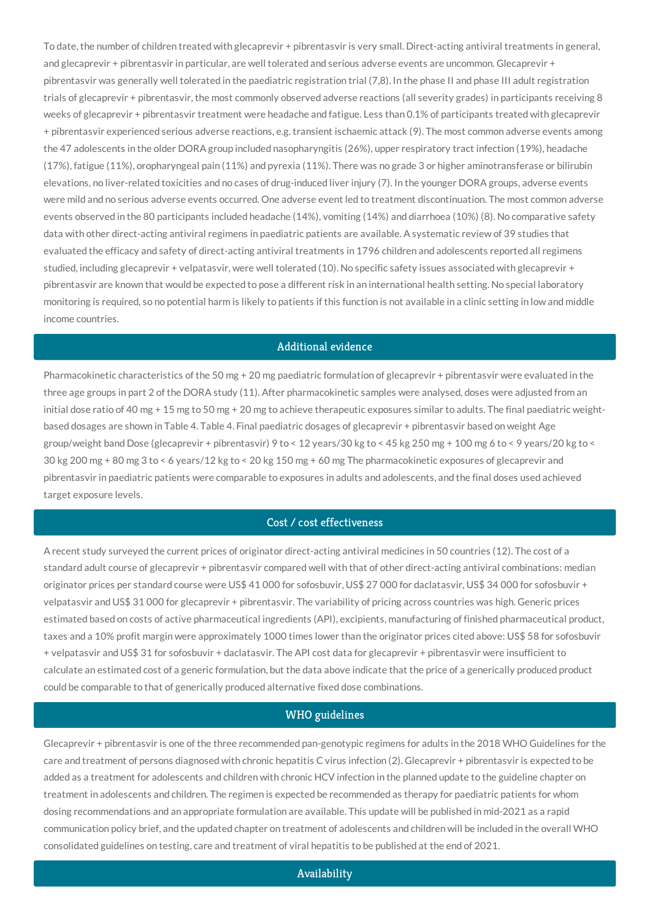To date, the number of children treated with glecaprevir + pibrentasvir is very small. Direct-acting antiviral treatments in general, and glecaprevir + pibrentasvir in particular, are well tolerated and serious adverse events are uncommon. Glecaprevir + pibrentasvir was generally well tolerated in the paediatric registration trial (7,8). In the phase II and phase III adult registration trials of glecaprevir + pibrentasvir, the most commonly observed adverse reactions (all severity grades) in participants receiving 8 weeks of glecaprevir + pibrentasvir treatment were headache and fatigue. Less than 0.1% of participants treated with glecaprevir + pibrentasvir experienced serious adverse reactions, e.g. transient ischaemic attack (9). The most common adverse events among the 47 adolescents in the older DORA group included nasopharyngitis (26%), upper respiratory tract infection (19%), headache (17%), fatigue (11%), oropharyngeal pain (11%) and pyrexia (11%). There was no grade 3 or higher aminotransferase or bilirubin elevations, no liver-related toxicities and no cases of drug-induced liver injury (7). In the younger DORA groups, adverse events were mild and no serious adverse events occurred. One adverse event led to treatment discontinuation. The most common adverse events observed in the 80 participants included headache (14%), vomiting (14%) and diarrhoea (10%) (8). No comparative safety data with other direct-acting antiviral regimens in paediatric patients are available. A systematic review of 39 studies that evaluated the efficacy and safety of direct-acting antiviral treatments in 1796 children and adolescents reported all regimens studied, including glecaprevir + velpatasvir, were well tolerated (10). No specific safety issues associated with glecaprevir + pibrentasvir are known that would be expected to pose a different risk in an international health setting. No special laboratory monitoring is required, so no potential harm is likely to patients if this function is not available in a clinic setting in low and middle income countries.

# Additional evidence

Pharmacokinetic characteristics of the 50 mg + 20 mg paediatric formulation of glecaprevir + pibrentasvir were evaluated in the three age groups in part 2 of the DORA study (11). After pharmacokinetic samples were analysed, doses were adjusted from an initial dose ratio of 40 mg + 15 mg to 50 mg + 20 mg to achieve therapeutic exposures similar to adults. The final paediatric weightbased dosages are shown in Table 4. Table 4. Final paediatric dosages of glecaprevir + pibrentasvir based on weight Age group/weight band Dose (glecaprevir + pibrentasvir) 9 to < 12 years/30 kg to < 45 kg 250 mg + 100 mg 6 to < 9 years/20 kg to < 30 kg 200 mg + 80 mg 3 to < 6 years/12 kg to < 20 kg 150 mg + 60 mg The pharmacokinetic exposures of glecaprevir and pibrentasvir in paediatric patients were comparable to exposures in adults and adolescents, and the final doses used achieved target exposure levels.

#### Cost / cost effectiveness

A recent study surveyed the current prices of originator direct-acting antiviral medicines in 50 countries (12). The cost of a standard adult course of glecaprevir + pibrentasvir compared well with that of other direct-acting antiviral combinations: median originator prices per standard course were US\$ 41 000 for sofosbuvir, US\$ 27 000 for daclatasvir, US\$ 34 000 for sofosbuvir + velpatasvir and US\$ 31 000 for glecaprevir + pibrentasvir. The variability of pricing across countries was high. Generic prices estimated based on costs of active pharmaceutical ingredients (API), excipients, manufacturing of finished pharmaceutical product, taxes and a 10% profit margin were approximately 1000 times lower than the originator prices cited above: US\$ 58 for sofosbuvir + velpatasvir and US\$ 31 for sofosbuvir + daclatasvir. The API cost data for glecaprevir + pibrentasvir were insufficient to calculate an estimated cost of a generic formulation, but the data above indicate that the price of a generically produced product could be comparable to that of generically produced alternative fixed dose combinations.

# WHO guidelines

Glecaprevir + pibrentasvir is one of the three recommended pan-genotypic regimens for adults in the 2018 WHO Guidelines for the care and treatment of persons diagnosed with chronic hepatitis C virus infection (2). Glecaprevir + pibrentasvir is expected to be added as a treatment for adolescents and children with chronic HCV infection in the planned update to the guideline chapter on treatment in adolescents and children. The regimen is expected be recommended as therapy for paediatric patients for whom dosing recommendations and an appropriate formulation are available. This update will be published in mid-2021 as a rapid communication policy brief, and the updated chapter on treatment of adolescents and children will be included in the overall WHO consolidated guidelines on testing, care and treatment of viral hepatitis to be published at the end of 2021.

#### Availability